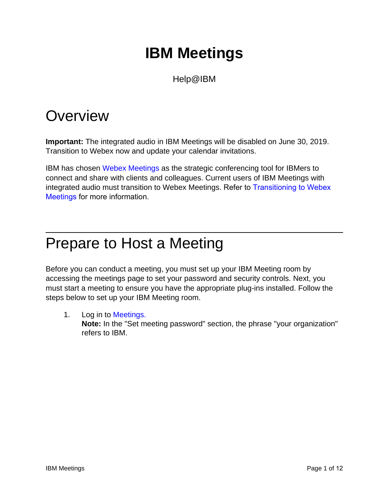# **IBM Meetings**

Help@IBM

## **Overview**

**Important:** The integrated audio in IBM Meetings will be disabled on June 30, 2019. Transition to Webex now and update your calendar invitations.

IBM has chosen Webex Meetings as the strategic conferencing tool for IBMers to connect and share with clients and colleagues. Current users of IBM Meetings with integrated audio must transition to Webex Meetings. Refer to Transitioning to Webex Meetings for more information.

## Prepare to Host a Meeting

Before you can conduct a meeting, you must set up your IBM Meeting room by accessing the meetings page to set your password and security controls. Next, you must start a meeting to ensure you have the appropriate plug-ins installed. Follow the steps below to set up your IBM Meeting room.

1. Log in to [Meetings](https://apps.na.collabserv.com/meetings/sthome). **Note:** In the "Set meeting password" section, the phrase "your organization" refers to IBM.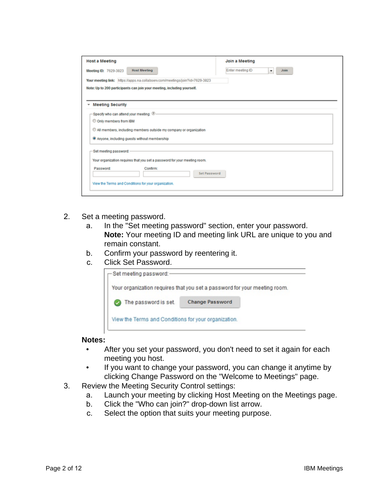| <b>Host a Meeting</b>                                                        | Join a Meeting                       |
|------------------------------------------------------------------------------|--------------------------------------|
| <b>Host Meeting</b><br>Meeting ID: 7629-3823                                 | Enter meeting ID<br><b>Join</b><br>٠ |
| Your meeting link: https://apps.na.collabserv.com/meetings/join?id=7629-3823 |                                      |
| Note: Up to 200 participants can join your meeting, including yourself.      |                                      |
|                                                                              |                                      |
| <b>Meeting Security</b><br>٠                                                 |                                      |
| -Specify who can attend your meeting: $\circledast$                          |                                      |
| C Only members from IBM                                                      |                                      |
| All members, including members outside my company or organization            |                                      |
| <sup>9</sup> Anyone, including guests without membership                     |                                      |
|                                                                              |                                      |
| Set meeting password:                                                        |                                      |
| Your organization requires that you set a password for your meeting room.    |                                      |
| Password:<br>Confirm:                                                        | Set Password                         |
|                                                                              |                                      |
| View the Terms and Conditions for your organization.                         |                                      |
|                                                                              |                                      |

- 2. Set a meeting password.
	- a. In the "Set meeting password" section, enter your password. **Note:** Your meeting ID and meeting link URL are unique to you and remain constant.
	- b. Confirm your password by reentering it.
	- c. Click Set Password.

| Set meeting password:                                                     |                        |  |
|---------------------------------------------------------------------------|------------------------|--|
| Your organization requires that you set a password for your meeting room. |                        |  |
| The password is set.                                                      | <b>Change Password</b> |  |
| View the Terms and Conditions for your organization.                      |                        |  |

#### **Notes:**

- After you set your password, you don't need to set it again for each meeting you host.
- If you want to change your password, you can change it anytime by clicking Change Password on the "Welcome to Meetings" page.
- 3. Review the Meeting Security Control settings:
	- a. Launch your meeting by clicking Host Meeting on the Meetings page.
	- b. Click the "Who can join?" drop-down list arrow.
	- c. Select the option that suits your meeting purpose.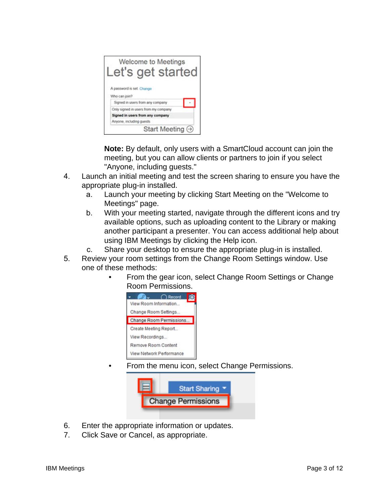| Welcome to Meetings<br>et's get started. |  |
|------------------------------------------|--|
| A password is set. Change                |  |
| Who can join?                            |  |
| Signed in users from any company         |  |
| Only signed in users from my company     |  |
| Signed in users from any company         |  |
| Anyone, including guests                 |  |
| Start Meeting $\odot$                    |  |

**Note:** By default, only users with a SmartCloud account can join the meeting, but you can allow clients or partners to join if you select "Anyone, including guests."

- 4. Launch an initial meeting and test the screen sharing to ensure you have the appropriate plug-in installed.
	- a. Launch your meeting by clicking Start Meeting on the "Welcome to Meetings" page.
	- b. With your meeting started, navigate through the different icons and try available options, such as uploading content to the Library or making another participant a presenter. You can access additional help about using IBM Meetings by clicking the Help icon.
	- c. Share your desktop to ensure the appropriate plug-in is installed.
- 5. Review your room settings from the Change Room Settings window. Use one of these methods:
	- From the gear icon, select Change Room Settings or Change Room Permissions.



• From the menu icon, select Change Permissions.



- 6. Enter the appropriate information or updates.
- 7. Click Save or Cancel, as appropriate.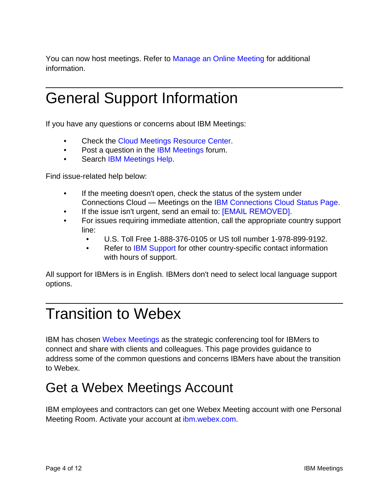You can now host meetings. Refer to Manage an Online Meeting for additional information.

# General Support Information

If you have any questions or concerns about IBM Meetings:

- Check the Cloud Meetings Resource Center.
- Post a question in the IBM Meetings forum.
- Search IBM Meetings Help.

Find issue-related help below:

- If the meeting doesn't open, check the status of the system under Connections Cloud — Meetings on the IBM Connections Cloud Status Page.
- If the issue isn't urgent, send an email to: **[EMAIL REMOVED]**.
- For issues requiring immediate attention, call the appropriate country support line:
	- U.S. Toll Free 1-888-376-0105 or US toll number 1-978-899-9192.
	- Refer to IBM Support for other country-specific contact information with hours of support.

All support for IBMers is in English. IBMers don't need to select local language support options.

# Transition to Webex

IBM has chosen Webex Meetings as the strategic conferencing tool for IBMers to connect and share with clients and colleagues. This page provides guidance to address some of the common questions and concerns IBMers have about the transition to Webex.

#### Get a Webex Meetings Account

IBM employees and contractors can get one Webex Meeting account with one Personal Meeting Room. Activate your account at ibm.webex.com.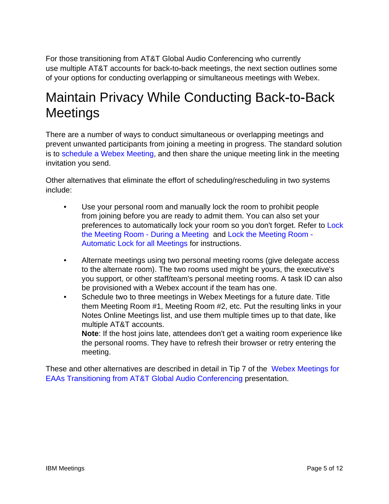For those transitioning from AT&T Global Audio Conferencing who currently use multiple AT&T accounts for back-to-back meetings, the next section outlines some of your options for conducting overlapping or simultaneous meetings with Webex.

### Maintain Privacy While Conducting Back-to-Back **Meetings**

There are a number of ways to conduct simultaneous or overlapping meetings and prevent unwanted participants from joining a meeting in progress. The standard solution is to schedule a Webex Meeting, and then share the unique meeting link in the meeting invitation you send.

Other alternatives that eliminate the effort of scheduling/rescheduling in two systems include:

- Use your personal room and manually lock the room to prohibit people from joining before you are ready to admit them. You can also set your preferences to automatically lock your room so you don't forget. Refer to Lock the Meeting Room - During a Meeting and Lock the Meeting Room - Automatic Lock for all Meetings for instructions.
- Alternate meetings using two personal meeting rooms (give delegate access to the alternate room). The two rooms used might be yours, the executive's you support, or other staff/team's personal meeting rooms. A task ID can also be provisioned with a Webex account if the team has one.
- Schedule two to three meetings in Webex Meetings for a future date. Title them Meeting Room #1, Meeting Room #2, etc. Put the resulting links in your Notes Online Meetings list, and use them multiple times up to that date, like multiple AT&T accounts.

**Note**: If the host joins late, attendees don't get a waiting room experience like the personal rooms. They have to refresh their browser or retry entering the meeting.

These and other alternatives are described in detail in Tip 7 of the Webex Meetings for EAAs Transitioning from AT&T Global Audio Conferencing presentation.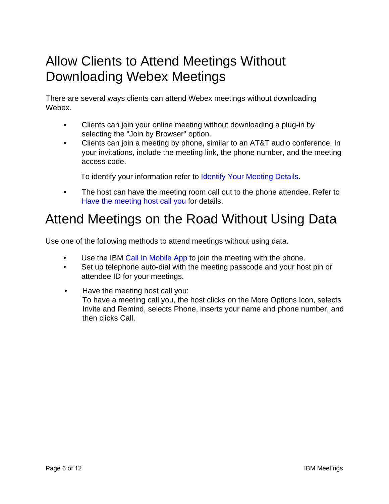#### Allow Clients to Attend Meetings Without Downloading Webex Meetings

There are several ways clients can attend Webex meetings without downloading Webex.

- Clients can join your online meeting without downloading a plug-in by selecting the "Join by Browser" option.
- Clients can join a meeting by phone, similar to an AT&T audio conference: In your invitations, include the meeting link, the phone number, and the meeting access code.

To identify your information refer to Identify Your Meeting Details.

• The host can have the meeting room call out to the phone attendee. Refer to Have the meeting host call you for details.

#### Attend Meetings on the Road Without Using Data

Use one of the following methods to attend meetings without using data.

- Use the IBM Call In Mobile App to join the meeting with the phone.
- Set up telephone auto-dial with the meeting passcode and your host pin or attendee ID for your meetings.
- Have the meeting host call you: To have a meeting call you, the host clicks on the More Options Icon, selects Invite and Remind, selects Phone, inserts your name and phone number, and then clicks Call.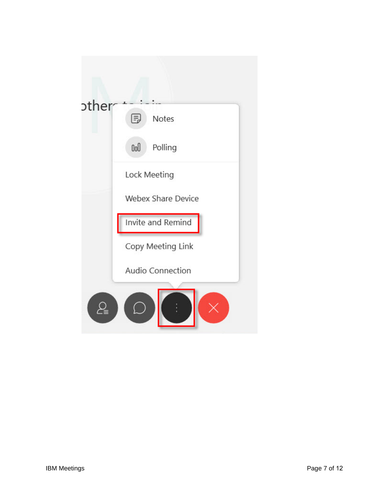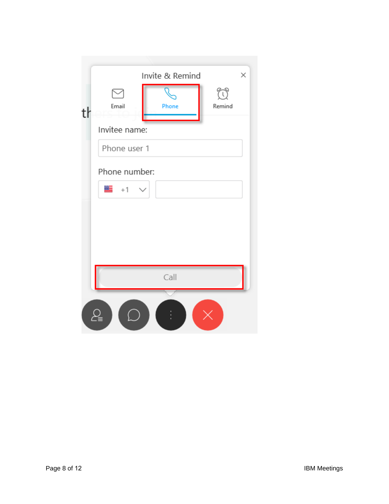|               | Invite & Remind | $\times$ |
|---------------|-----------------|----------|
|               |                 | 77       |
| Email<br>tŀ   | Phone           | Remind   |
| Invitee name: |                 |          |
|               | Phone user 1    |          |
|               | Phone number:   |          |
| ▓ॾॱ⊹1         |                 |          |
|               |                 |          |
|               |                 |          |
|               |                 |          |
|               |                 |          |
|               | Call            |          |
|               |                 |          |
|               |                 |          |
|               |                 |          |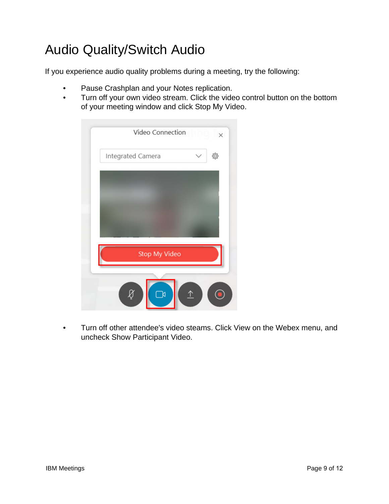## Audio Quality/Switch Audio

If you experience audio quality problems during a meeting, try the following:

- Pause Crashplan and your Notes replication.
- Turn off your own video stream. Click the video control button on the bottom of your meeting window and click Stop My Video.



• Turn off other attendee's video steams. Click View on the Webex menu, and uncheck Show Participant Video.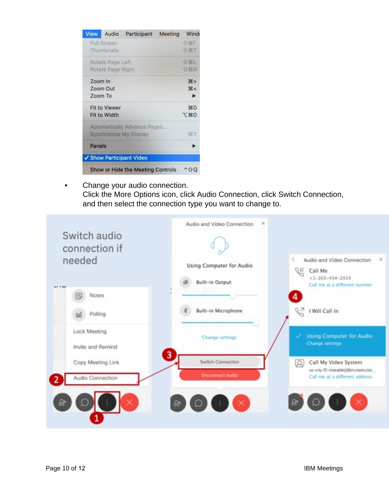| <b>View</b>        | Audio                                       | Participant                                                         | Meeting | Wind                     |
|--------------------|---------------------------------------------|---------------------------------------------------------------------|---------|--------------------------|
|                    | <b>Full Screen</b><br>Thumbnails            |                                                                     |         | <b>企器F</b><br><b>介出T</b> |
|                    | Rotate Page Left<br>Rotate Page Right       |                                                                     |         | <b>介出L</b><br><b>介出R</b> |
| Zoom In<br>Zoom To | Zoom Out                                    |                                                                     |         | #<br><                   |
|                    | <b>Fit to Viewer</b><br><b>Fit to Width</b> |                                                                     |         | $*$ 0<br>工 第0            |
|                    |                                             | <b>Automatically Advance Pages</b><br><b>Synchronize My Display</b> |         | <b>SEY</b>               |
| Panels             |                                             |                                                                     |         |                          |
|                    |                                             | ✔ Show Participant Video                                            |         |                          |
|                    |                                             | Show or Hide the Meeting Controls                                   |         | 1 F CJ                   |

• Change your audio connection. Click the More Options icon, click Audio Connection, click Switch Connection, and then select the connection type you want to change to.

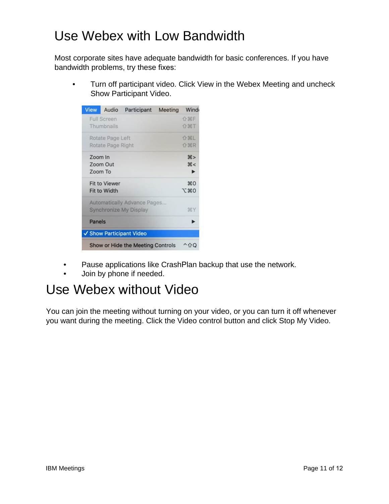#### Use Webex with Low Bandwidth

Most corporate sites have adequate bandwidth for basic conferences. If you have bandwidth problems, try these fixes:

• Turn off participant video. Click View in the Webex Meeting and uncheck Show Participant Video.

| <b>View</b> |                      | Audio Participant                  | Meeting | Wind          |
|-------------|----------------------|------------------------------------|---------|---------------|
|             | <b>Full Screen</b>   |                                    |         | <b>介器F</b>    |
|             | Thumbnails           |                                    |         | 介出工           |
|             | Rotate Page Left     |                                    |         | <b>介出L</b>    |
|             | Rotate Page Right    |                                    |         | <b>介出R</b>    |
| Zoom In     |                      |                                    |         | #             |
|             | Zoom Out             |                                    |         | <             |
|             | Zoom To              |                                    |         |               |
|             | <b>Fit to Viewer</b> |                                    |         | $^{12}$       |
|             | Fit to Width         |                                    |         | <b>JE 360</b> |
|             |                      | <b>Automatically Advance Pages</b> |         |               |
|             |                      | <b>Synchronize My Display</b>      |         | <b>HY</b>     |
| Panels      |                      |                                    |         |               |
|             |                      | ✔ Show Participant Video           |         |               |
|             |                      | Show or Hide the Meeting Controls  |         |               |

- Pause applications like CrashPlan backup that use the network.
- Join by phone if needed.

#### Use Webex without Video

You can join the meeting without turning on your video, or you can turn it off whenever you want during the meeting. Click the Video control button and click Stop My Video.